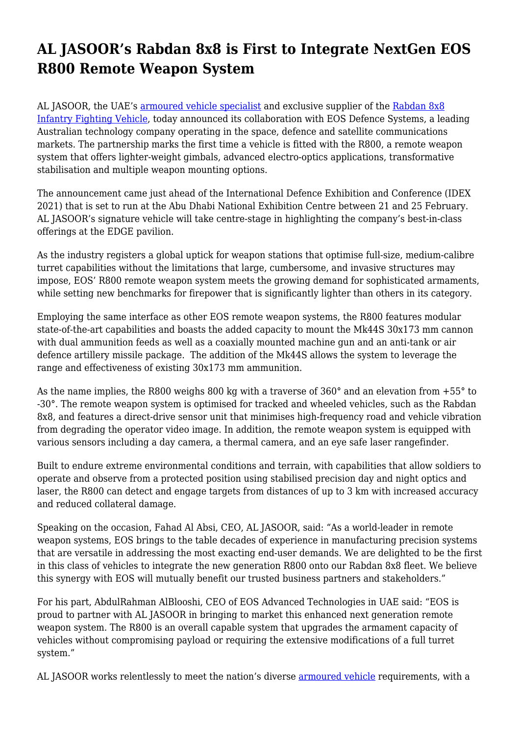## **AL JASOOR's Rabdan 8x8 is First to Integrate NextGen EOS R800 Remote Weapon System**

AL JASOOR, the UAE's [armoured vehicle specialist](https://aljasoor.ae/) and exclusive supplier of the [Rabdan 8x8](https://aljasoor.ae/product#Rabdan8x8-Armoured-Fighting-Vehicle) [Infantry Fighting Vehicle](https://aljasoor.ae/product#Rabdan8x8-Armoured-Fighting-Vehicle), today announced its collaboration with EOS Defence Systems, a leading Australian technology company operating in the space, defence and satellite communications markets. The partnership marks the first time a vehicle is fitted with the R800, a remote weapon system that offers lighter-weight gimbals, advanced electro-optics applications, transformative stabilisation and multiple weapon mounting options.

The announcement came just ahead of the International Defence Exhibition and Conference (IDEX 2021) that is set to run at the Abu Dhabi National Exhibition Centre between 21 and 25 February. AL JASOOR's signature vehicle will take centre-stage in highlighting the company's best-in-class offerings at the EDGE pavilion.

As the industry registers a global uptick for weapon stations that optimise full-size, medium-calibre turret capabilities without the limitations that large, cumbersome, and invasive structures may impose, EOS' R800 remote weapon system meets the growing demand for sophisticated armaments, while setting new benchmarks for firepower that is significantly lighter than others in its category.

Employing the same interface as other EOS remote weapon systems, the R800 features modular state-of-the-art capabilities and boasts the added capacity to mount the Mk44S 30x173 mm cannon with dual ammunition feeds as well as a coaxially mounted machine gun and an anti-tank or air defence artillery missile package. The addition of the Mk44S allows the system to leverage the range and effectiveness of existing 30x173 mm ammunition.

As the name implies, the R800 weighs 800 kg with a traverse of 360° and an elevation from +55° to -30°. The remote weapon system is optimised for tracked and wheeled vehicles, such as the Rabdan 8x8, and features a direct-drive sensor unit that minimises high-frequency road and vehicle vibration from degrading the operator video image. In addition, the remote weapon system is equipped with various sensors including a day camera, a thermal camera, and an eye safe laser rangefinder.

Built to endure extreme environmental conditions and terrain, with capabilities that allow soldiers to operate and observe from a protected position using stabilised precision day and night optics and laser, the R800 can detect and engage targets from distances of up to 3 km with increased accuracy and reduced collateral damage.

Speaking on the occasion, Fahad Al Absi, CEO, AL JASOOR, said: "As a world-leader in remote weapon systems, EOS brings to the table decades of experience in manufacturing precision systems that are versatile in addressing the most exacting end-user demands. We are delighted to be the first in this class of vehicles to integrate the new generation R800 onto our Rabdan 8x8 fleet. We believe this synergy with EOS will mutually benefit our trusted business partners and stakeholders."

For his part, AbdulRahman AlBlooshi, CEO of EOS Advanced Technologies in UAE said: "EOS is proud to partner with AL JASOOR in bringing to market this enhanced next generation remote weapon system. The R800 is an overall capable system that upgrades the armament capacity of vehicles without compromising payload or requiring the extensive modifications of a full turret system."

AL JASOOR works relentlessly to meet the nation's diverse [armoured vehicle](https://aljasoor.ae/product) requirements, with a